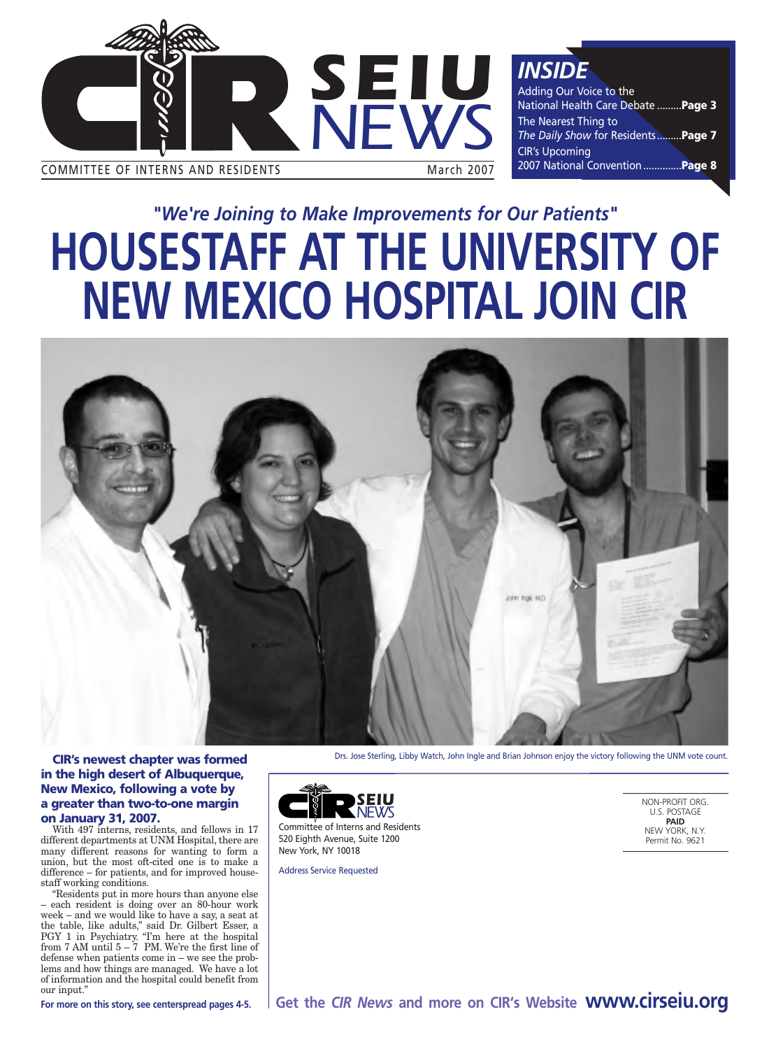

## *"We're Joining to Make Improvements for Our Patients"* **HOUSESTAFF AT THE UNIVERSITY OF NEW MEXICO HOSPITAL JOIN CIR**



**CIR's newest chapter was formed in the high desert of Albuquerque, New Mexico, following a vote by a greater than two-to-one margin on January 31, 2007.**

With 497 interns, residents, and fellows in 17 different departments at UNM Hospital, there are many different reasons for wanting to form a union, but the most oft-cited one is to make a difference – for patients, and for improved housestaff working conditions.

"Residents put in more hours than anyone else – each resident is doing over an 80-hour work week – and we would like to have a say, a seat at the table, like adults," said Dr. Gilbert Esser, a PGY 1 in Psychiatry. "I'm here at the hospital from 7 AM until 5 – 7 PM. We're the first line of defense when patients come in – we see the problems and how things are managed. We have a lot of information and the hospital could benefit from our input."

**For more on this story, see centerspread pages 4-5.**

Drs. Jose Sterling, Libby Watch, John Ingle and Brian Johnson enjoy the victory following the UNM vote count.



Committee of Interns and Residents 520 Eighth Avenue, Suite 1200 New York, NY 10018

Address Service Requested

NON-PROFIT ORG. U.S. POSTAGE **PAID** NEW YORK, N.Y. Permit No. 9621

**Get the** *CIR News* **and more on CIR's Website www.cirseiu.org**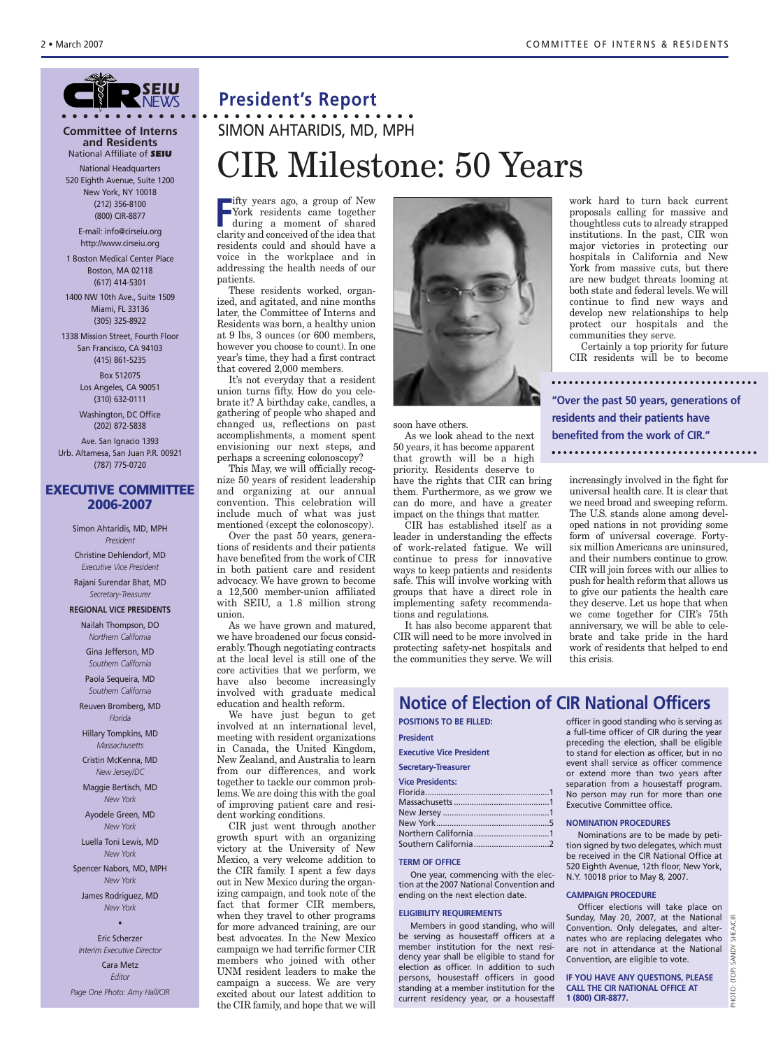

#### **Committee of Interns and Residents** National Affiliate of *SEIU*

National Headquarters 520 Eighth Avenue, Suite 1200 New York, NY 10018 (212) 356-8100 (800) CIR-8877

E-mail: info@cirseiu.org http://www.cirseiu.org

1 Boston Medical Center Place Boston, MA 02118 (617) 414-5301

1400 NW 10th Ave., Suite 1509 Miami, FL 33136 (305) 325-8922

1338 Mission Street, Fourth Floor San Francisco, CA 94103 (415) 861-5235 Box 512075

> Los Angeles, CA 90051 (310) 632-0111

Washington, DC Office (202) 872-5838 Ave. San Ignacio 1393 Urb. Altamesa, San Juan P.R. 00921 (787) 775-0720

#### **EXECUTIVE COMMITTEE 2006-2007**

Simon Ahtaridis, MD, MPH *President* Christine Dehlendorf, MD *Executive Vice President*

Rajani Surendar Bhat, MD *Secretary-Treasurer*

#### **REGIONAL VICE PRESIDENTS**

Nailah Thompson, DO *Northern California*

Gina Jefferson, MD *Southern California*

Paola Sequeira, MD *Southern California*

Reuven Bromberg, MD *Florida*

Hillary Tompkins, MD *Massachusetts*

Cristin McKenna, MD *New Jersey/DC*

Maggie Bertisch, MD *New York*

Ayodele Green, MD *New York*

Luella Toni Lewis, MD *New York*

Spencer Nabors, MD, MPH *New York*

James Rodriguez, MD *New York*

#### • Eric Scherzer

*Interim Executive Director* Cara Metz

*Editor Page One Photo: Amy Hall/CIR*

## **President's Report**

## **• • • • • • • • • • • • • • • • • • • • • • • • • • • • • • • • •** SIMON AHTARIDIS, MD, MPH CIR Milestone: 50 Years

**Fifty years ago, a group of New York residents came together during a moment of shared** York residents came together during a moment of shared clarity and conceived of the idea that residents could and should have a voice in the workplace and in addressing the health needs of our patients.

These residents worked, organized, and agitated, and nine months later, the Committee of Interns and Residents was born, a healthy union at 9 lbs, 3 ounces (or 600 members, however you choose to count). In one year's time, they had a first contract that covered 2,000 members.

It's not everyday that a resident union turns fifty. How do you celebrate it? A birthday cake, candles, a gathering of people who shaped and changed us, reflections on past accomplishments, a moment spent envisioning our next steps, and perhaps a screening colonoscopy?

This May, we will officially recognize 50 years of resident leadership and organizing at our annual convention. This celebration will include much of what was just mentioned (except the colonoscopy).

Over the past 50 years, generations of residents and their patients have benefited from the work of CIR in both patient care and resident advocacy. We have grown to become a 12,500 member-union affiliated with SEIU, a 1.8 million strong union.

As we have grown and matured, we have broadened our focus considerably. Though negotiating contracts at the local level is still one of the core activities that we perform, we have also become increasingly involved with graduate medical education and health reform.

We have just begun to get involved at an international level, meeting with resident organizations in Canada, the United Kingdom, New Zealand, and Australia to learn from our differences, and work together to tackle our common problems. We are doing this with the goal of improving patient care and resident working conditions.

CIR just went through another growth spurt with an organizing victory at the University of New Mexico, a very welcome addition to the CIR family. I spent a few days out in New Mexico during the organizing campaign, and took note of the fact that former CIR members, when they travel to other programs for more advanced training, are our best advocates. In the New Mexico campaign we had terrific former CIR members who joined with other UNM resident leaders to make the campaign a success. We are very excited about our latest addition to the CIR family, and hope that we will



soon have others.

As we look ahead to the next 50 years, it has become apparent that growth will be a high priority. Residents deserve to have the rights that CIR can bring them. Furthermore, as we grow we can do more, and have a greater impact on the things that matter.

CIR has established itself as a leader in understanding the effects of work-related fatigue. We will continue to press for innovative ways to keep patients and residents safe. This will involve working with groups that have a direct role in implementing safety recommendations and regulations.

It has also become apparent that CIR will need to be more involved in protecting safety-net hospitals and the communities they serve. We will work hard to turn back current proposals calling for massive and thoughtless cuts to already strapped institutions. In the past, CIR won major victories in protecting our hospitals in California and New York from massive cuts, but there are new budget threats looming at both state and federal levels. We will continue to find new ways and develop new relationships to help protect our hospitals and the communities they serve.

Certainly a top priority for future CIR residents will be to become

**"Over the past 50 years, generations of residents and their patients have benefited from the work of CIR."** 

increasingly involved in the fight for universal health care. It is clear that we need broad and sweeping reform. The U.S. stands alone among developed nations in not providing some form of universal coverage. Fortysix million Americans are uninsured, and their numbers continue to grow. CIR will join forces with our allies to push for health reform that allows us to give our patients the health care they deserve. Let us hope that when we come together for CIR's 75th anniversary, we will be able to celebrate and take pride in the hard work of residents that helped to end this crisis.

### **Notice of Election of CIR National Officers**

**POSITIONS TO BE FILLED: President Executive Vice President Secretary-Treasurer Vice Presidents:** Florida........................................................1 Massachusetts...........................................1 New Jersey ................................................1

#### New York...................................................5 Northern California..................................1 Southern California..................................2

#### **TERM OF OFFICE**

One year, commencing with the election at the 2007 National Convention and ending on the next election date.

#### **ELIGIBILITY REQUIREMENTS**

Members in good standing, who will be serving as housestaff officers at a member institution for the next residency year shall be eligible to stand for election as officer. In addition to such persons, housestaff officers in good standing at a member institution for the current residency year, or a housestaff officer in good standing who is serving as a full-time officer of CIR during the year preceding the election, shall be eligible to stand for election as officer, but in no event shall service as officer commence or extend more than two years after separation from a housestaff program. No person may run for more than one Executive Committee office.

#### **NOMINATION PROCEDURES**

Nominations are to be made by petition signed by two delegates, which must be received in the CIR National Office at 520 Eighth Avenue, 12th floor, New York, N.Y. 10018 prior to May 8, 2007.

#### **CAMPAIGN PROCEDURE**

Officer elections will take place on Sunday, May 20, 2007, at the National Convention. Only delegates, and alternates who are replacing delegates who are not in attendance at the National Convention, are eligible to vote.

**IF YOU HAVE ANY QUESTIONS, PLEASE CALL THE CIR NATIONAL OFFICE AT 1 (800) CIR-8877.**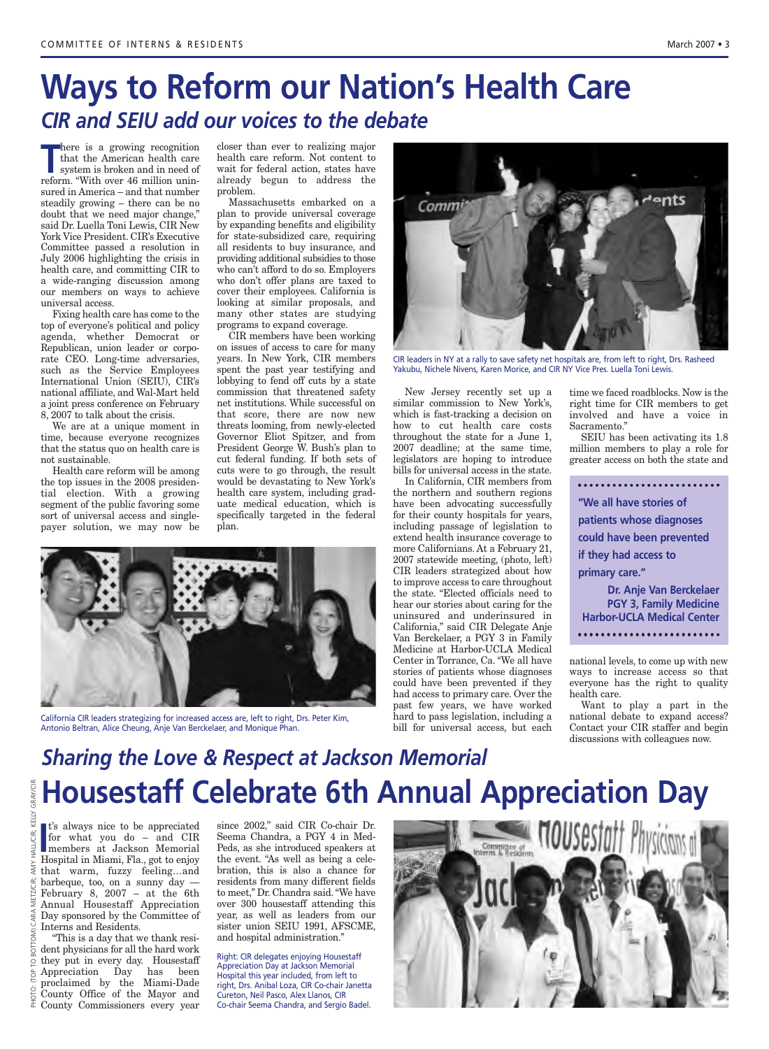## **Ways to Reform our Nation's Health Care** *CIR and SEIU add our voices to the debate*

**There is a growing recognition**<br>
that the American health care<br>
system is broken and in need of<br>
reform. "With over 46 million uninhere is a growing recognition that the American health care system is broken and in need of sured in America – and that number steadily growing – there can be no doubt that we need major change," said Dr. Luella Toni Lewis, CIR New York Vice President. CIR's Executive Committee passed a resolution in July 2006 highlighting the crisis in health care, and committing CIR to a wide-ranging discussion among our members on ways to achieve universal access.

Fixing health care has come to the top of everyone's political and policy agenda, whether Democrat or Republican, union leader or corporate CEO. Long-time adversaries, such as the Service Employees International Union (SEIU), CIR's national affiliate, and Wal-Mart held a joint press conference on February 8, 2007 to talk about the crisis.

We are at a unique moment in time, because everyone recognizes that the status quo on health care is not sustainable.

Health care reform will be among the top issues in the 2008 presidential election. With a growing segment of the public favoring some sort of universal access and singlepayer solution, we may now be

closer than ever to realizing major health care reform. Not content to wait for federal action, states have already begun to address the problem.

Massachusetts embarked on a plan to provide universal coverage by expanding benefits and eligibility for state-subsidized care, requiring all residents to buy insurance, and providing additional subsidies to those who can't afford to do so. Employers who don't offer plans are taxed to cover their employees. California is looking at similar proposals, and many other states are studying programs to expand coverage.

CIR members have been working on issues of access to care for many years. In New York, CIR members spent the past year testifying and lobbying to fend off cuts by a state commission that threatened safety net institutions. While successful on that score, there are now new threats looming, from newly-elected Governor Eliot Spitzer, and from President George W. Bush's plan to cut federal funding. If both sets of cuts were to go through, the result would be devastating to New York's health care system, including graduate medical education, which is specifically targeted in the federal plan.



California CIR leaders strategizing for increased access are, left to right, Drs. Peter Kim, Antonio Beltran, Alice Cheung, Anje Van Berckelaer, and Monique Phan.



CIR leaders in NY at a rally to save safety net hospitals are, from left to right, Drs. Rasheed Yakubu, Nichele Nivens, Karen Morice, and CIR NY Vice Pres. Luella Toni Lewis.

New Jersey recently set up a similar commission to New York's, which is fast-tracking a decision on how to cut health care costs throughout the state for a June 1, 2007 deadline; at the same time, legislators are hoping to introduce bills for universal access in the state.

In California, CIR members from the northern and southern regions have been advocating successfully for their county hospitals for years, including passage of legislation to extend health insurance coverage to more Californians. At a February 21, 2007 statewide meeting, (photo, left) CIR leaders strategized about how to improve access to care throughout the state. "Elected officials need to hear our stories about caring for the uninsured and underinsured in California," said CIR Delegate Anje Van Berckelaer, a PGY 3 in Family Medicine at Harbor-UCLA Medical Center in Torrance, Ca. "We all have stories of patients whose diagnoses could have been prevented if they had access to primary care. Over the past few years, we have worked hard to pass legislation, including a bill for universal access, but each time we faced roadblocks. Now is the right time for CIR members to get involved and have a voice in Sacramento."

SEIU has been activating its 1.8 million members to play a role for greater access on both the state and

**"We all have stories of patients whose diagnoses could have been prevented if they had access to primary care." Dr. Anje Van Berckelaer PGY 3, Family Medicine Harbor-UCLA Medical Center** 

national levels, to come up with new ways to increase access so that everyone has the right to quality health care.

Want to play a part in the national debate to expand access? Contact your CIR staffer and begin discussions with colleagues now.

## *Sharing the Love & Respect at Jackson Memorial* **Housestaff Celebrate 6th Annual Appreciation Day**

I<sup>t's</sup> always nice to be appreciated<br>for what you do – and CIR<br>members at Jackson Memorial<br>Hespital in Miami Flat at the origin  $\blacksquare$  t's always nice to be appreciated for what you do – and CIR Hospital in Miami, Fla., got to enjoy that warm, fuzzy feeling…and barbeque, too, on a sunny day — February 8, 2007 – at the 6th Annual Housestaff Appreciation Day sponsored by the Committee of Interns and Residents.

**HALL/CIR:** 

 $ANY$  H Ë METZ CARA

PHOTO: (TOP TO BOTTOM) CARA METZ/CIR; AMY HALL/CIR; KELLY GRAY/CIRTO BOTTOM) "This is a day that we thank resident physicians for all the hard work they put in every day. Housestaff Appreciation Day has been QР proclaimed by the Miami-Dade PHOTO: County Office of the Mayor and County Commissioners every year

since 2002," said CIR Co-chair Dr. Seema Chandra, a PGY 4 in Med-Peds, as she introduced speakers at the event. "As well as being a celebration, this is also a chance for residents from many different fields to meet," Dr. Chandra said. "We have over 300 housestaff attending this year, as well as leaders from our sister union SEIU 1991, AFSCME, and hospital administration."

Right: CIR delegates enjoying Housestaff Appreciation Day at Jackson Memorial Hospital this year included, from left to right, Drs. Anibal Loza, CIR Co-chair Janetta Cureton, Neil Pasco, Alex Llanos, CIR Co-chair Seema Chandra, and Sergio Badel.

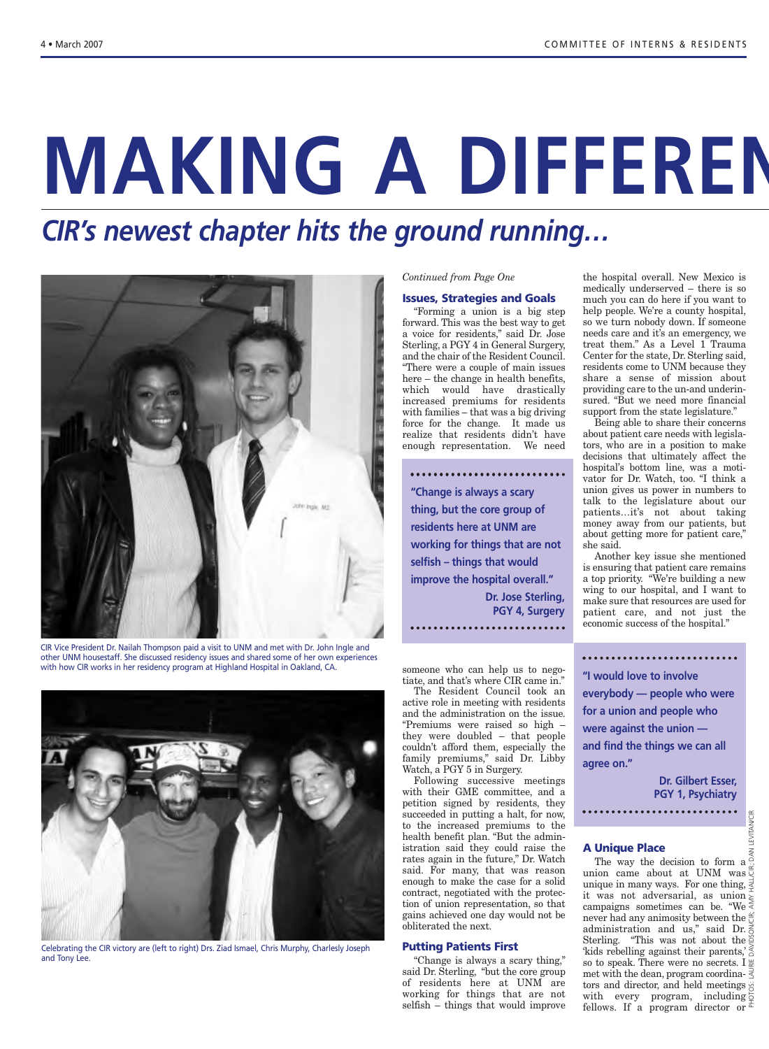# **MAKING A DIFFEREN**

## *CIR's newest chapter hits the ground running…*



CIR Vice President Dr. Nailah Thompson paid a visit to UNM and met with Dr. John Ingle and other UNM housestaff. She discussed residency issues and shared some of her own experiences with how CIR works in her residency program at Highland Hospital in Oakland, CA.



Celebrating the CIR victory are (left to right) Drs. Ziad Ismael, Chris Murphy, Charlesly Joseph and Tony Lee.

*Continued from Page One*

#### **Issues, Strategies and Goals**

"Forming a union is a big step forward. This was the best way to get a voice for residents," said Dr. Jose Sterling, a PGY 4 in General Surgery, and the chair of the Resident Council. "There were a couple of main issues here – the change in health benefits, which would have drastically increased premiums for residents with families – that was a big driving force for the change. It made us realize that residents didn't have enough representation. We need

**"Change is always a scary thing, but the core group of residents here at UNM are working for things that are not selfish – things that would improve the hospital overall." Dr. Jose Sterling, PGY 4, Surgery**  the hospital overall. New Mexico is medically underserved – there is so much you can do here if you want to help people. We're a county hospital, so we turn nobody down. If someone needs care and it's an emergency, we treat them." As a Level 1 Trauma Center for the state, Dr. Sterling said, residents come to UNM because they share a sense of mission about providing care to the un-and underinsured. "But we need more financial support from the state legislature."

Being able to share their concerns about patient care needs with legislators, who are in a position to make decisions that ultimately affect the hospital's bottom line, was a motivator for Dr. Watch, too. "I think a union gives us power in numbers to talk to the legislature about our patients…it's not about taking money away from our patients, but about getting more for patient care," she said.

Another key issue she mentioned is ensuring that patient care remains a top priority. "We're building a new wing to our hospital, and I want to make sure that resources are used for patient care, and not just the economic success of the hospital."

someone who can help us to negotiate, and that's where CIR came in."

The Resident Council took an active role in meeting with residents and the administration on the issue. "Premiums were raised so high – they were doubled – that people couldn't afford them, especially the family premiums," said Dr. Libby Watch, a PGY 5 in Surgery.

Following successive meetings with their GME committee, and a petition signed by residents, they succeeded in putting a halt, for now, to the increased premiums to the health benefit plan. "But the administration said they could raise the rates again in the future," Dr. Watch said. For many, that was reason enough to make the case for a solid contract, negotiated with the protection of union representation, so that gains achieved one day would not be obliterated the next.

#### **Putting Patients First**

"Change is always a scary thing," said Dr. Sterling, "but the core group of residents here at UNM are working for things that are not selfish – things that would improve

**"I would love to involve everybody — people who were for a union and people who were against the union and find the things we can all agree on."**

. . . . . . . . . . . . . . . . . . .

**Dr. Gilbert Esser, PGY 1, Psychiatry**

#### **A Unique Place**

The way the decision to form a union came about at UNM was unique in many ways. For one thing,  $\frac{3}{5}$ it was not adversarial, as union campaigns sometimes can be. "We never had any animosity between the  $\tilde{e}$ administration and us," said Dr.  $\frac{3}{6}$ Sterling. "This was not about the  $\approx$ 'kids rebelling against their parents,'  $\leq$ so to speak. There were no secrets. I  $\frac{w}{\alpha}$ met with the dean, program coordina- $\leq$ tors and director, and held meetings  $\frac{1}{2}$ with every program, including fellows. If a program director or PHOTOS: LAURIE DAVIDSON/CIR; AMY HALL/CIR; DAN LEVITAN/CIR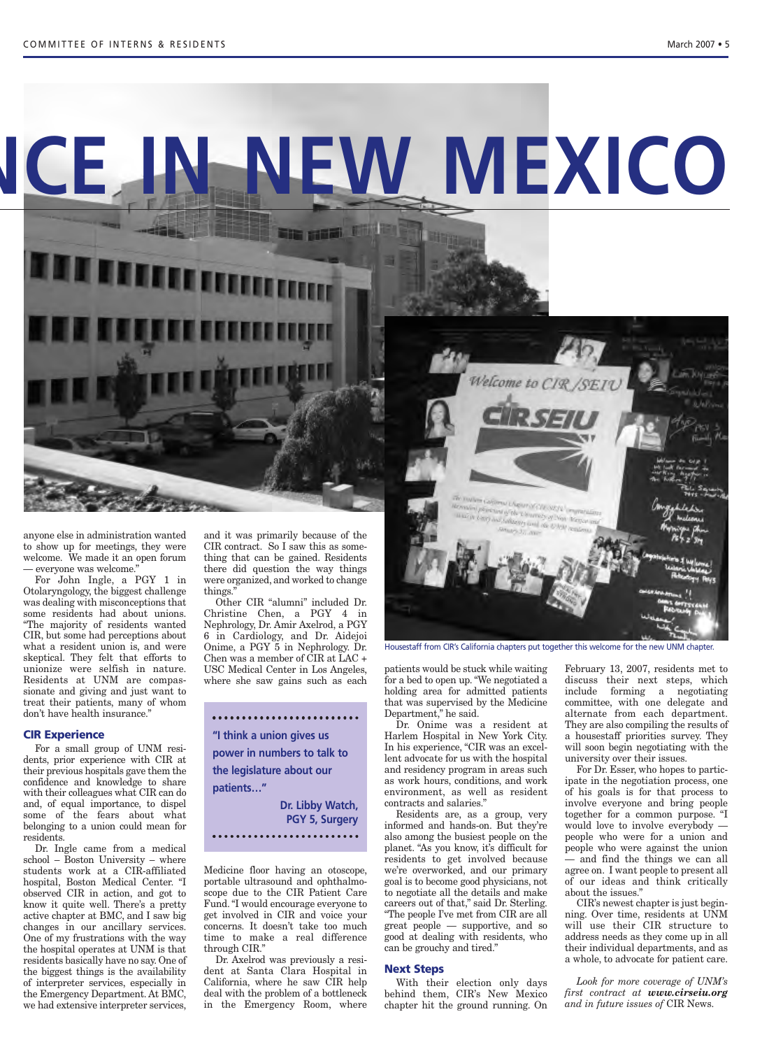# **NCE IN NEW MEXICO**



anyone else in administration wanted to show up for meetings, they were welcome. We made it an open forum — everyone was welcome."

For John Ingle, a PGY 1 in Otolaryngology, the biggest challenge was dealing with misconceptions that some residents had about unions. "The majority of residents wanted CIR, but some had perceptions about what a resident union is, and were skeptical. They felt that efforts to unionize were selfish in nature. Residents at UNM are compassionate and giving and just want to treat their patients, many of whom don't have health insurance."

#### **CIR Experience**

For a small group of UNM residents, prior experience with CIR at their previous hospitals gave them the confidence and knowledge to share with their colleagues what CIR can do and, of equal importance, to dispel some of the fears about what belonging to a union could mean for residents.

Dr. Ingle came from a medical school – Boston University – where students work at a CIR-affiliated hospital, Boston Medical Center. "I observed CIR in action, and got to know it quite well. There's a pretty active chapter at BMC, and I saw big changes in our ancillary services. One of my frustrations with the way the hospital operates at UNM is that residents basically have no say. One of the biggest things is the availability of interpreter services, especially in the Emergency Department. At BMC, we had extensive interpreter services,

and it was primarily because of the CIR contract. So I saw this as something that can be gained. Residents there did question the way things were organized, and worked to change things."

Other CIR "alumni" included Dr. Christine Chen, a PGY 4 in Nephrology, Dr. Amir Axelrod, a PGY 6 in Cardiology, and Dr. Aidejoi Onime, a PGY 5 in Nephrology. Dr. Chen was a member of CIR at LAC + USC Medical Center in Los Angeles, where she saw gains such as each

**"I think a union gives us power in numbers to talk to the legislature about our patients…"**

**Dr. Libby Watch, PGY 5, Surgery**

Medicine floor having an otoscope, portable ultrasound and ophthalmoscope due to the CIR Patient Care Fund. "I would encourage everyone to get involved in CIR and voice your concerns. It doesn't take too much time to make a real difference through CIR."

Dr. Axelrod was previously a resident at Santa Clara Hospital in California, where he saw CIR help deal with the problem of a bottleneck in the Emergency Room, where



Housestaff from CIR's California chapters put together this welcome for the new UNM chapter.

patients would be stuck while waiting for a bed to open up. "We negotiated a holding area for admitted patients that was supervised by the Medicine Department," he said.

Dr. Onime was a resident at Harlem Hospital in New York City. In his experience, "CIR was an excellent advocate for us with the hospital and residency program in areas such as work hours, conditions, and work environment, as well as resident contracts and salaries."

Residents are, as a group, very informed and hands-on. But they're also among the busiest people on the planet. "As you know, it's difficult for residents to get involved because we're overworked, and our primary goal is to become good physicians, not to negotiate all the details and make careers out of that," said Dr. Sterling. "The people I've met from CIR are all great people — supportive, and so good at dealing with residents, who can be grouchy and tired."

#### **Next Steps**

With their election only days behind them, CIR's New Mexico chapter hit the ground running. On February 13, 2007, residents met to discuss their next steps, which include forming a negotiating committee, with one delegate and alternate from each department. They are also compiling the results of a housestaff priorities survey. They will soon begin negotiating with the university over their issues.

For Dr. Esser, who hopes to participate in the negotiation process, one of his goals is for that process to involve everyone and bring people together for a common purpose. "I would love to involve everybody people who were for a union and people who were against the union — and find the things we can all agree on. I want people to present all of our ideas and think critically about the issues."

CIR's newest chapter is just beginning. Over time, residents at UNM will use their CIR structure to address needs as they come up in all their individual departments, and as a whole, to advocate for patient care.

*Look for more coverage of UNM's first contract at www.cirseiu.org and in future issues of* CIR News.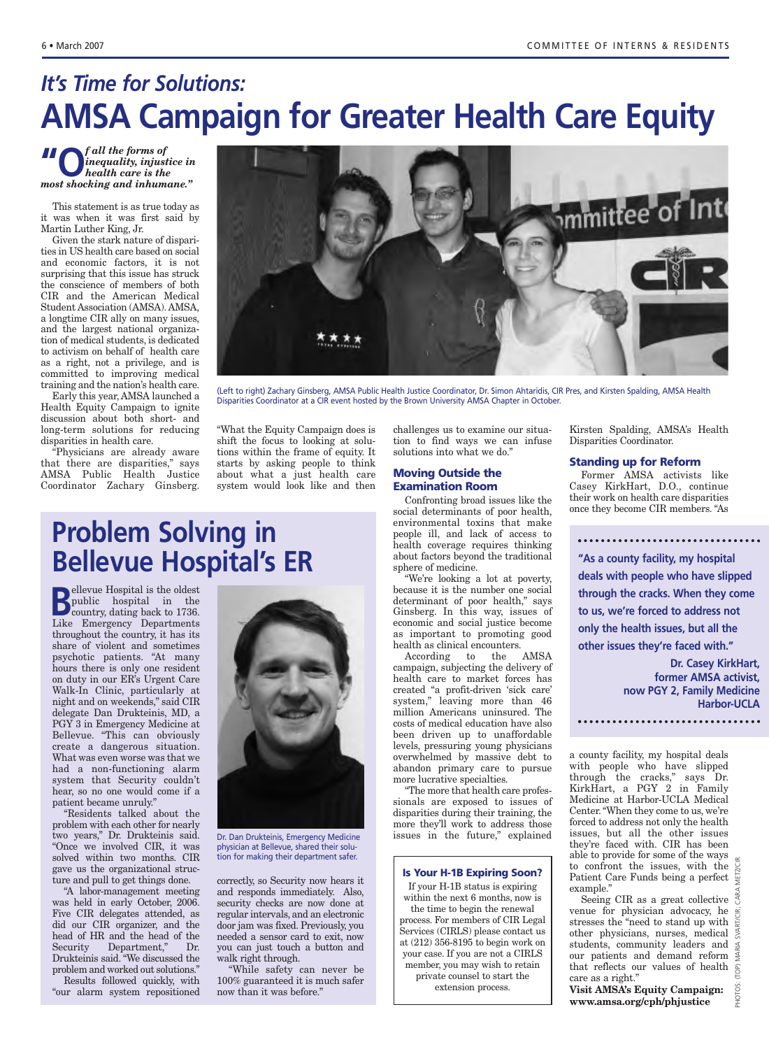## *It's Time for Solutions:* **AMSA Campaign for Greater Health Care Equity**

**11 O** *f* all the forms of<br> *inequality, injusi*<br> *health care is the meet shocking and inhum inequality, injustice in health care is the most shocking and inhumane."*

This statement is as true today as it was when it was first said by Martin Luther King, Jr.

Given the stark nature of disparities in US health care based on social and economic factors, it is not surprising that this issue has struck the conscience of members of both CIR and the American Medical Student Association (AMSA). AMSA, a longtime CIR ally on many issues, and the largest national organization of medical students, is dedicated to activism on behalf of health care as a right, not a privilege, and is committed to improving medical training and the nation's health care.

Early this year, AMSA launched a Health Equity Campaign to ignite discussion about both short- and long-term solutions for reducing disparities in health care.

"Physicians are already aware that there are disparities," says AMSA Public Health Justice Coordinator Zachary Ginsberg.

"What the Equity Campaign does is shift the focus to looking at solutions within the frame of equity. It starts by asking people to think about what a just health care system would look like and then

**Problem Solving in Bellevue Hospital's ER**

**B**ellevue Hospital is the oldest<br>
public chospital in the<br>
country, dating back to 1736. public hospital in the country, dating back to 1736. Like Emergency Departments throughout the country, it has its share of violent and sometimes psychotic patients. "At many hours there is only one resident on duty in our ER's Urgent Care Walk-In Clinic, particularly at night and on weekends," said CIR delegate Dan Drukteinis, MD, a PGY 3 in Emergency Medicine at Bellevue. "This can obviously create a dangerous situation. What was even worse was that we had a non-functioning alarm system that Security couldn't hear, so no one would come if a patient became unruly."

"Residents talked about the problem with each other for nearly two years," Dr. Drukteinis said. "Once we involved CIR, it was solved within two months. CIR gave us the organizational structure and pull to get things done.

"A labor-management meeting was held in early October, 2006. Five CIR delegates attended, as did our CIR organizer, and the head of HR and the head of the Security Department," Dr. Drukteinis said. "We discussed the problem and worked out solutions."

Results followed quickly, with "our alarm system repositioned



Dr. Dan Drukteinis, Emergency Medicine physician at Bellevue, shared their solution for making their department safer.

correctly, so Security now hears it and responds immediately. Also, security checks are now done at regular intervals, and an electronic door jam was fixed. Previously, you needed a sensor card to exit, now you can just touch a button and walk right through.

"While safety can never be 100% guaranteed it is much safer now than it was before."

(Left to right) Zachary Ginsberg, AMSA Public Health Justice Coordinator, Dr. Simon Ahtaridis, CIR Pres, and Kirsten Spalding, AMSA Health Disparities Coordinator at a CIR event hosted by the Brown University AMSA Chapter in October.

> tion to find ways we can infuse solutions into what we do."

challenges us to examine our situa-

#### **Moving Outside the Examination Room**

Confronting broad issues like the social determinants of poor health, environmental toxins that make people ill, and lack of access to health coverage requires thinking about factors beyond the traditional sphere of medicine.

"We're looking a lot at poverty, because it is the number one social determinant of poor health," says Ginsberg. In this way, issues of economic and social justice become as important to promoting good health as clinical encounters.

According to the AMSA campaign, subjecting the delivery of health care to market forces has created "a profit-driven 'sick care' system," leaving more than 46 million Americans uninsured. The costs of medical education have also been driven up to unaffordable levels, pressuring young physicians overwhelmed by massive debt to abandon primary care to pursue more lucrative specialties.

"The more that health care professionals are exposed to issues of disparities during their training, the more they'll work to address those issues in the future," explained

#### **Is Your H-1B Expiring Soon?**

If your H-1B status is expiring within the next 6 months, now is the time to begin the renewal process. For members of CIR Legal Services (CIRLS) please contact us at (212) 356-8195 to begin work on your case. If you are not a CIRLS member, you may wish to retain private counsel to start the extension process.

Kirsten Spalding, AMSA's Health Disparities Coordinator.

#### **Standing up for Reform**

Former AMSA activists like Casey KirkHart, D.O., continue their work on health care disparities once they become CIR members. "As

**"As a county facility, my hospital deals with people who have slipped through the cracks. When they come to us, we're forced to address not only the health issues, but all the other issues they're faced with."**

> **Dr. Casey KirkHart, former AMSA activist, now PGY 2, Family Medicine Harbor-UCLA**

a county facility, my hospital deals with people who have slipped through the cracks," says Dr. KirkHart, a PGY 2 in Family Medicine at Harbor-UCLA Medical Center."When they come to us, we're forced to address not only the health issues, but all the other issues they're faced with. CIR has been able to provide for some of the ways to confront the issues, with the  $\frac{1}{8}$ Patient Care Funds being a perfect example."

Seeing CIR as a great collective  $\frac{a}{Q}$ venue for physician advocacy, he stresses the "need to stand up with other physicians, nurses, medical students, community leaders and our patients and demand reform that reflects our values of health care as a right."

**Visit AMSA's Equity Campaign: www.amsa.org/cph/phjustice**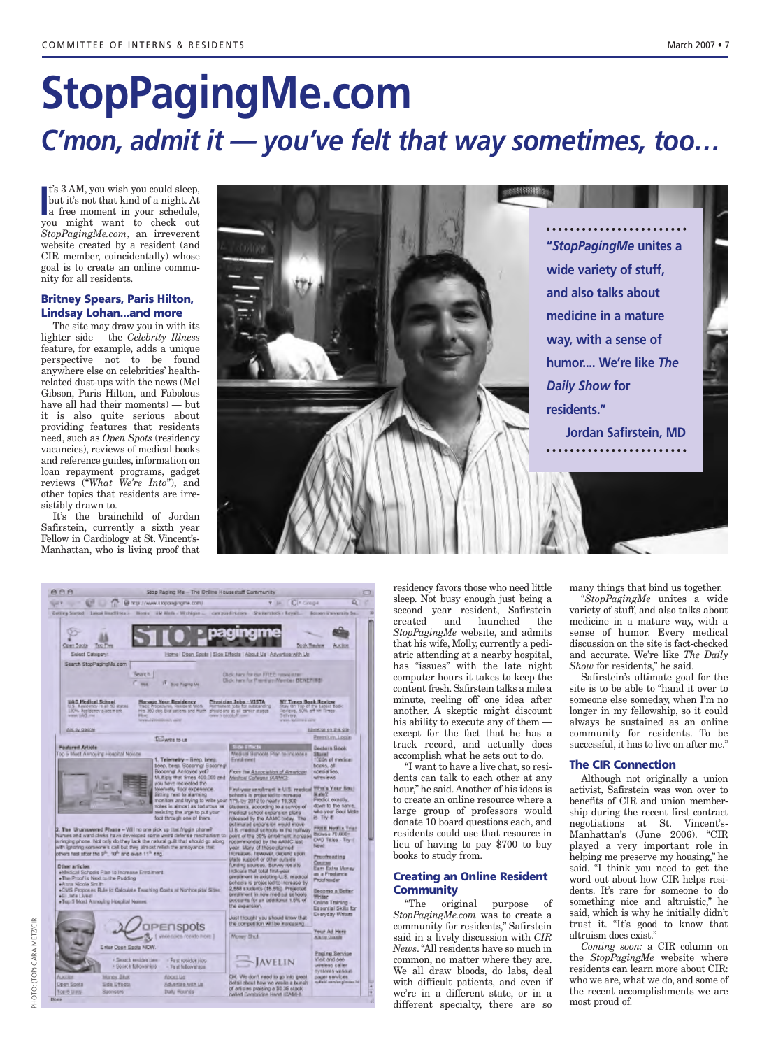# *C'mon, admit it — you've felt that way sometimes, too…*

**I**<sup>t</sup>'s 3 AM, you wish you could sleep,<br>but it's not that kind of a night. At<br>a free moment in your schedule,<br>way might, want, to shock out t's 3 AM, you wish you could sleep, but it's not that kind of a night. At you might want to check out *StopPagingMe.com*, an irreverent website created by a resident (and CIR member, coincidentally) whose goal is to create an online community for all residents.

#### **Britney Spears, Paris Hilton, Lindsay Lohan...and more**

The site may draw you in with its lighter side – the *Celebrity Illness* feature, for example, adds a unique perspective not to be found anywhere else on celebrities' healthrelated dust-ups with the news (Mel Gibson, Paris Hilton, and Fabolous have all had their moments) — but it is also quite serious about providing features that residents need, such as *Open Spots* (residency vacancies), reviews of medical books and reference guides, information on loan repayment programs, gadget reviews ("*What We're Into*"), and other topics that residents are irresistibly drawn to.

It's the brainchild of Jordan Safirstein, currently a sixth year Fellow in Cardiology at St. Vincent's-Manhattan, who is living proof that





residency favors those who need little sleep. Not busy enough just being a second year resident, Safirstein created and launched the *StopPagingMe* website, and admits that his wife, Molly, currently a pediatric attending at a nearby hospital, has "issues" with the late night computer hours it takes to keep the content fresh. Safirstein talks a mile a minute, reeling off one idea after another. A skeptic might discount his ability to execute any of them except for the fact that he has a track record, and actually does accomplish what he sets out to do.

"I want to have a live chat, so residents can talk to each other at any hour," he said. Another of his ideas is to create an online resource where a large group of professors would donate 10 board questions each, and residents could use that resource in lieu of having to pay \$700 to buy books to study from.

#### **Creating an Online Resident Community**

original purpose of *StopPagingMe.com* was to create a community for residents," Safirstein said in a lively discussion with *CIR News*. "All residents have so much in common, no matter where they are. We all draw bloods, do labs, deal with difficult patients, and even if we're in a different state, or in a different specialty, there are so many things that bind us together.

"*StopPagingMe* unites a wide variety of stuff, and also talks about medicine in a mature way, with a sense of humor. Every medical discussion on the site is fact-checked and accurate. We're like *The Daily Show* for residents," he said.

Safirstein's ultimate goal for the site is to be able to "hand it over to someone else someday, when I'm no longer in my fellowship, so it could always be sustained as an online community for residents. To be successful, it has to live on after me."

#### **The CIR Connection**

Although not originally a union activist, Safirstein was won over to benefits of CIR and union membership during the recent first contract negotiations at St. Vincent's-Manhattan's (June 2006). "CIR played a very important role in helping me preserve my housing," he said. "I think you need to get the word out about how CIR helps residents. It's rare for someone to do something nice and altruistic," he said, which is why he initially didn't trust it. "It's good to know that altruism does exist."

*Coming soon:* a CIR column on the *StopPagingMe* website where residents can learn more about CIR: who we are, what we do, and some of the recent accomplishments we are most proud of.